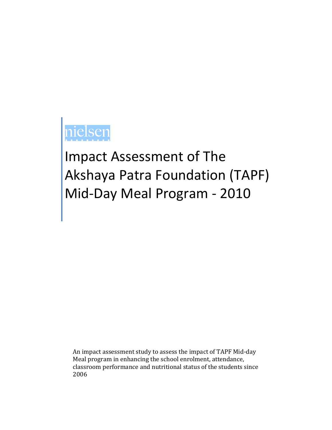# Impact Assessment of The Akshaya Patra Foundation (TAPF) Mid-Day Meal Program - 2010

An impact assessment study to assess the impact of TAPF Mid-day Meal program in enhancing the school enrolment, attendance, classroom performance and nutritional status of the students since 2006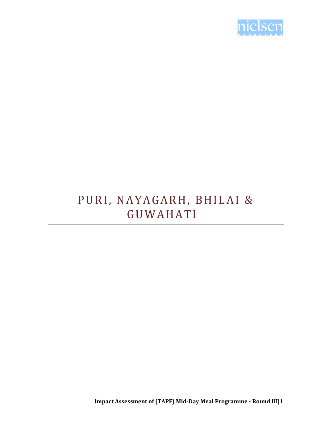

### PURI, NAYAGARH, BHILAI & **GUWAHATI**

**Impact Assessment of (TAPF) Mid-Day Meal Programme - Round III**|1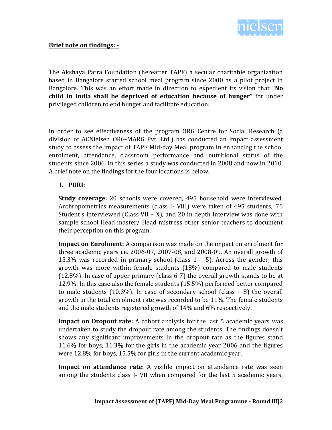

The Akshaya Patra Foundation (hereafter TAPF) a secular charitable organization based in Bangalore started school meal program since 2000 as a pilot project in Bangalore. This was an effort made in direction to expedient its vision that **"No child in India shall be deprived of education because of hunger"** for under privileged children to end hunger and facilitate education.

In order to see effectiveness of the program ORG Centre for Social Research (a division of ACNielsen ORG-MARG Pvt. Ltd.) has conducted an impact assessment study to assess the impact of TAPF Mid-day Meal program in enhancing the school enrolment, attendance, classroom performance and nutritional status of the students since 2006. In this series a study was conducted in 2008 and now in 2010. A brief note on the findings for the four locations is below.

### **I. PURI:**

**Study coverage:** 20 schools were covered, 495 household were interviewed, Anthropometrics measurements (class I- VIII) were taken of 495 students, 75 Student's interviewed (Class VII – X), and 20 in depth interview was done with sample school Head master/ Head mistress other senior teachers to document their perception on this program.

**Impact on Enrolment:** A comparison was made on the impact on enrolment for three academic years i.e. 2006-07, 2007-08, and 2008-09. An overall growth of 15.3% was recorded in primary school (class  $1 - 5$ ). Across the gender; this growth was more within female students (18%) compared to male students (12.8%). In case of upper primary (class 6-7) the overall growth stands to be at 12.9%. In this case also the female students (15.5%) performed better compared to male students (10.3%). In case of secondary school (class – 8) the overall growth in the total enrolment rate was recorded to be 11%. The female students and the male students registered growth of 14% and 6% respectively.

**Impact on Dropout rate:** A cohort analysis for the last 5 academic years was undertaken to study the dropout rate among the students. The findings doesn't shows any significant improvements in the dropout rate as the figures stand 11.6% for boys, 11.3% for the girls in the academic year 2006 and the figures were 12.8% for boys, 15.5% for girls in the current academic year.

**Impact on attendance rate:** A visible impact on attendance rate was seen among the students class I- VII when compared for the last 5 academic years.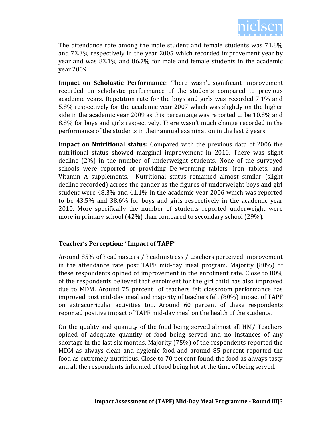

The attendance rate among the male student and female students was 71.8% and 73.3% respectively in the year 2005 which recorded improvement year by year and was 83.1% and 86.7% for male and female students in the academic year 2009.

**Impact on Scholastic Performance:** There wasn't significant improvement recorded on scholastic performance of the students compared to previous academic years. Repetition rate for the boys and girls was recorded 7.1% and 5.8% respectively for the academic year 2007 which was slightly on the higher side in the academic year 2009 as this percentage was reported to be 10.8% and 8.8% for boys and girls respectively. There wasn't much change recorded in the performance of the students in their annual examination in the last 2 years.

**Impact on Nutritional status:** Compared with the previous data of 2006 the nutritional status showed marginal improvement in 2010. There was slight decline (2%) in the number of underweight students. None of the surveyed schools were reported of providing De-worming tablets, Iron tablets, and Vitamin A supplements. Nutritional status remained almost similar (slight decline recorded) across the gander as the figures of underweight boys and girl student were 48.3% and 41.1% in the academic year 2006 which was reported to be 43.5% and 38.6% for boys and girls respectively in the academic year 2010. More specifically the number of students reported underweight were more in primary school (42%) than compared to secondary school (29%).

### **Teacher's Perception: "Impact of TAPF"**

Around 85% of headmasters / headmistress / teachers perceived improvement in the attendance rate post TAPF mid-day meal program. Majority (80%) of these respondents opined of improvement in the enrolment rate. Close to 80% of the respondents believed that enrolment for the girl child has also improved due to MDM. Around 75 percent of teachers felt classroom performance has improved post mid-day meal and majority of teachers felt (80%) impact of TAPF on extracurricular activities too. Around 60 percent of these respondents reported positive impact of TAPF mid-day meal on the health of the students.

On the quality and quantity of the food being served almost all HM/ Teachers opined of adequate quantity of food being served and no instances of any shortage in the last six months. Majority (75%) of the respondents reported the MDM as always clean and hygienic food and around 85 percent reported the food as extremely nutritious. Close to 70 percent found the food as always tasty and all the respondents informed of food being hot at the time of being served.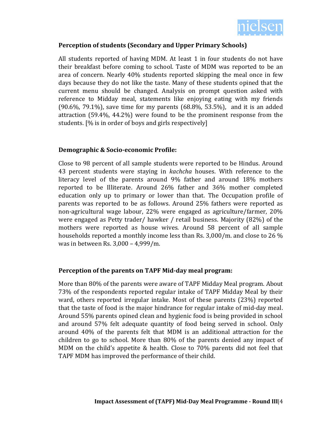

### **Perception of students (Secondary and Upper Primary Schools)**

All students reported of having MDM. At least 1 in four students do not have their breakfast before coming to school. Taste of MDM was reported to be an area of concern. Nearly 40% students reported skipping the meal once in few days because they do not like the taste. Many of these students opined that the current menu should be changed. Analysis on prompt question asked with reference to Midday meal, statements like enjoying eating with my friends (90.6%, 79.1%), save time for my parents (68.8%, 53.5%), and it is an added attraction (59.4%, 44.2%) were found to be the prominent response from the students. [% is in order of boys and girls respectively]

### **Demographic & Socio-economic Profile:**

Close to 98 percent of all sample students were reported to be Hindus. Around 43 percent students were staying in *kachcha* houses. With reference to the literacy level of the parents around 9% father and around 18% mothers reported to be Illiterate. Around 26% father and 36% mother completed education only up to primary or lower than that. The Occupation profile of parents was reported to be as follows. Around 25% fathers were reported as non-agricultural wage labour, 22% were engaged as agriculture/farmer, 20% were engaged as Petty trader/ hawker / retail business. Majority (82%) of the mothers were reported as house wives. Around 58 percent of all sample households reported a monthly income less than Rs. 3,000/m. and close to 26 % was in between Rs. 3,000 – 4,999/m.

### **Perception of the parents on TAPF Mid-day meal program:**

More than 80% of the parents were aware of TAPF Midday Meal program. About 73% of the respondents reported regular intake of TAPF Midday Meal by their ward, others reported irregular intake. Most of these parents (23%) reported that the taste of food is the major hindrance for regular intake of mid-day meal. Around 55% parents opined clean and hygienic food is being provided in school and around 57% felt adequate quantity of food being served in school. Only around 40% of the parents felt that MDM is an additional attraction for the children to go to school. More than 80% of the parents denied any impact of MDM on the child's appetite & health. Close to 70% parents did not feel that TAPF MDM has improved the performance of their child.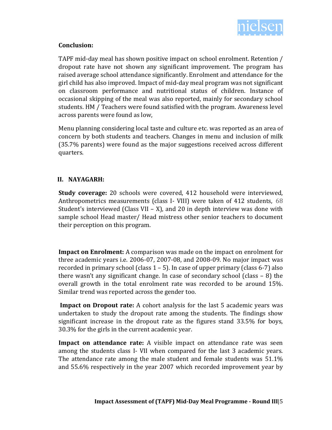

### **Conclusion:**

TAPF mid-day meal has shown positive impact on school enrolment. Retention / dropout rate have not shown any significant improvement. The program has raised average school attendance significantly. Enrolment and attendance for the girl child has also improved. Impact of mid-day meal program was not significant on classroom performance and nutritional status of children. Instance of occasional skipping of the meal was also reported, mainly for secondary school students. HM / Teachers were found satisfied with the program. Awareness level across parents were found as low,

Menu planning considering local taste and culture etc. was reported as an area of concern by both students and teachers. Changes in menu and inclusion of milk (35.7% parents) were found as the major suggestions received across different quarters.

### **II. NAYAGARH:**

**Study coverage:** 20 schools were covered, 412 household were interviewed, Anthropometrics measurements (class I- VIII) were taken of 412 students, 68 Student's interviewed (Class VII – X), and 20 in depth interview was done with sample school Head master/ Head mistress other senior teachers to document their perception on this program.

**Impact on Enrolment:** A comparison was made on the impact on enrolment for three academic years i.e. 2006-07, 2007-08, and 2008-09. No major impact was recorded in primary school (class  $1 - 5$ ). In case of upper primary (class 6-7) also there wasn't any significant change. In case of secondary school (class – 8) the overall growth in the total enrolment rate was recorded to be around 15%. Similar trend was reported across the gender too.

**Impact on Dropout rate:** A cohort analysis for the last 5 academic years was undertaken to study the dropout rate among the students. The findings show significant increase in the dropout rate as the figures stand 33.5% for boys, 30.3% for the girls in the current academic year.

**Impact on attendance rate:** A visible impact on attendance rate was seen among the students class I- VII when compared for the last 3 academic years. The attendance rate among the male student and female students was 51.1% and 55.6% respectively in the year 2007 which recorded improvement year by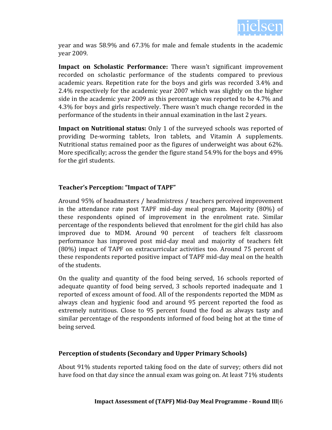

year and was 58.9% and 67.3% for male and female students in the academic year 2009.

**Impact on Scholastic Performance:** There wasn't significant improvement recorded on scholastic performance of the students compared to previous academic years. Repetition rate for the boys and girls was recorded 3.4% and 2.4% respectively for the academic year 2007 which was slightly on the higher side in the academic year 2009 as this percentage was reported to be 4.7% and 4.3% for boys and girls respectively. There wasn't much change recorded in the performance of the students in their annual examination in the last 2 years.

**Impact on Nutritional status:** Only 1 of the surveyed schools was reported of providing De-worming tablets, Iron tablets, and Vitamin A supplements. Nutritional status remained poor as the figures of underweight was about 62%. More specifically; across the gender the figure stand 54.9% for the boys and 49% for the girl students.

### **Teacher's Perception: "Impact of TAPF"**

Around 95% of headmasters / headmistress / teachers perceived improvement in the attendance rate post TAPF mid-day meal program. Majority (80%) of these respondents opined of improvement in the enrolment rate. Similar percentage of the respondents believed that enrolment for the girl child has also improved due to MDM. Around 90 percent of teachers felt classroom performance has improved post mid-day meal and majority of teachers felt (80%) impact of TAPF on extracurricular activities too. Around 75 percent of these respondents reported positive impact of TAPF mid-day meal on the health of the students.

On the quality and quantity of the food being served, 16 schools reported of adequate quantity of food being served, 3 schools reported inadequate and 1 reported of excess amount of food. All of the respondents reported the MDM as always clean and hygienic food and around 95 percent reported the food as extremely nutritious. Close to 95 percent found the food as always tasty and similar percentage of the respondents informed of food being hot at the time of being served.

### **Perception of students (Secondary and Upper Primary Schools)**

About 91% students reported taking food on the date of survey; others did not have food on that day since the annual exam was going on. At least 71% students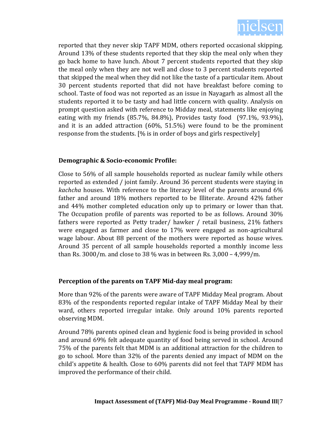

reported that they never skip TAPF MDM, others reported occasional skipping. Around 13% of these students reported that they skip the meal only when they go back home to have lunch. About 7 percent students reported that they skip the meal only when they are not well and close to 3 percent students reported that skipped the meal when they did not like the taste of a particular item. About 30 percent students reported that did not have breakfast before coming to school. Taste of food was not reported as an issue in Nayagarh as almost all the students reported it to be tasty and had little concern with quality. Analysis on prompt question asked with reference to Midday meal, statements like enjoying eating with my friends (85.7%, 84.8%), Provides tasty food (97.1%, 93.9%), and it is an added attraction (60%, 51.5%) were found to be the prominent response from the students. [% is in order of boys and girls respectively]

### **Demographic & Socio-economic Profile:**

Close to 56% of all sample households reported as nuclear family while others reported as extended / joint family. Around 36 percent students were staying in *kachcha* houses. With reference to the literacy level of the parents around 6% father and around 18% mothers reported to be Illiterate. Around 42% father and 44% mother completed education only up to primary or lower than that. The Occupation profile of parents was reported to be as follows. Around 30% fathers were reported as Petty trader/ hawker / retail business, 21% fathers were engaged as farmer and close to 17% were engaged as non-agricultural wage labour. About 88 percent of the mothers were reported as house wives. Around 35 percent of all sample households reported a monthly income less than Rs. 3000/m. and close to 38 % was in between Rs. 3,000 – 4,999/m.

### **Perception of the parents on TAPF Mid-day meal program:**

More than 92% of the parents were aware of TAPF Midday Meal program. About 83% of the respondents reported regular intake of TAPF Midday Meal by their ward, others reported irregular intake. Only around 10% parents reported observing MDM.

Around 78% parents opined clean and hygienic food is being provided in school and around 69% felt adequate quantity of food being served in school. Around 75% of the parents felt that MDM is an additional attraction for the children to go to school. More than 32% of the parents denied any impact of MDM on the child's appetite & health. Close to 60% parents did not feel that TAPF MDM has improved the performance of their child.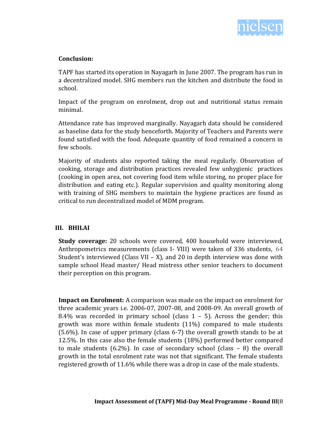

### **Conclusion:**

TAPF has started its operation in Nayagarh in June 2007. The program has run in a decentralized model. SHG members run the kitchen and distribute the food in school.

Impact of the program on enrolment, drop out and nutritional status remain minimal.

Attendance rate has improved marginally. Nayagarh data should be considered as baseline data for the study henceforth. Majority of Teachers and Parents were found satisfied with the food. Adequate quantity of food remained a concern in few schools.

Majority of students also reported taking the meal regularly. Observation of cooking, storage and distribution practices revealed few unhygienic practices (cooking in open area, not covering food item while storing, no proper place for distribution and eating etc.). Regular supervision and quality monitoring along with training of SHG members to maintain the hygiene practices are found as critical to run decentralized model of MDM program.

### **III. BHILAI**

**Study coverage:** 20 schools were covered, 400 household were interviewed, Anthropometrics measurements (class I- VIII) were taken of 336 students, 64 Student's interviewed (Class VII – X), and 20 in depth interview was done with sample school Head master/ Head mistress other senior teachers to document their perception on this program.

**Impact on Enrolment:** A comparison was made on the impact on enrolment for three academic years i.e. 2006-07, 2007-08, and 2008-09. An overall growth of 8.4% was recorded in primary school (class  $1 - 5$ ). Across the gender; this growth was more within female students (11%) compared to male students (5.6%). In case of upper primary (class 6-7) the overall growth stands to be at 12.5%. In this case also the female students (18%) performed better compared to male students  $(6.2\%)$ . In case of secondary school (class  $-8$ ) the overall growth in the total enrolment rate was not that significant. The female students registered growth of 11.6% while there was a drop in case of the male students.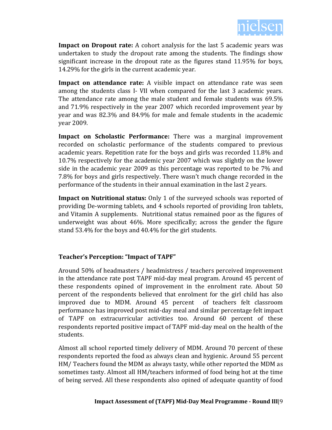

**Impact on Dropout rate:** A cohort analysis for the last 5 academic years was undertaken to study the dropout rate among the students. The findings show significant increase in the dropout rate as the figures stand 11.95% for boys, 14.29% for the girls in the current academic year.

**Impact on attendance rate:** A visible impact on attendance rate was seen among the students class I- VII when compared for the last 3 academic years. The attendance rate among the male student and female students was 69.5% and 71.9% respectively in the year 2007 which recorded improvement year by year and was 82.3% and 84.9% for male and female students in the academic year 2009.

**Impact on Scholastic Performance:** There was a marginal improvement recorded on scholastic performance of the students compared to previous academic years. Repetition rate for the boys and girls was recorded 11.8% and 10.7% respectively for the academic year 2007 which was slightly on the lower side in the academic year 2009 as this percentage was reported to be 7% and 7.8% for boys and girls respectively. There wasn't much change recorded in the performance of the students in their annual examination in the last 2 years.

**Impact on Nutritional status:** Only 1 of the surveyed schools was reported of providing De-worming tablets, and 4 schools reported of providing Iron tablets, and Vitamin A supplements. Nutritional status remained poor as the figures of underweight was about 46%. More specifically; across the gender the figure stand 53.4% for the boys and 40.4% for the girl students.

### **Teacher's Perception: "Impact of TAPF"**

Around 50% of headmasters / headmistress / teachers perceived improvement in the attendance rate post TAPF mid-day meal program. Around 45 percent of these respondents opined of improvement in the enrolment rate. About 50 percent of the respondents believed that enrolment for the girl child has also improved due to MDM. Around 45 percent of teachers felt classroom performance has improved post mid-day meal and similar percentage felt impact of TAPF on extracurricular activities too. Around 60 percent of these respondents reported positive impact of TAPF mid-day meal on the health of the students.

Almost all school reported timely delivery of MDM. Around 70 percent of these respondents reported the food as always clean and hygienic. Around 55 percent HM/ Teachers found the MDM as always tasty, while other reported the MDM as sometimes tasty. Almost all HM/teachers informed of food being hot at the time of being served. All these respondents also opined of adequate quantity of food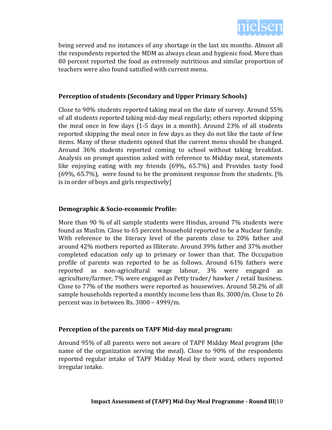

being served and no instances of any shortage in the last six months. Almost all the respondents reported the MDM as always clean and hygienic food. More than 80 percent reported the food as extremely nutritious and similar proportion of teachers were also found satisfied with current menu.

### **Perception of students (Secondary and Upper Primary Schools)**

Close to 90% students reported taking meal on the date of survey. Around 55% of all students reported taking mid-day meal regularly; others reported skipping the meal once in few days (1-5 days in a month). Around 23% of all students reported skipping the meal once in few days as they do not like the taste of few items. Many of these students opined that the current menu should be changed. Around 36% students reported coming to school without taking breakfast. Analysis on prompt question asked with reference to Midday meal, statements like enjoying eating with my friends (69%, 65.7%) and Provides tasty food (69%, 65.7%), were found to be the prominent response from the students. [% is in order of boys and girls respectively]

### **Demographic & Socio-economic Profile:**

More than 90 % of all sample students were Hindus, around 7% students were found as Muslim. Close to 65 percent household reported to be a Nuclear family. With reference to the literacy level of the parents close to 20% father and around 42% mothers reported as Illiterate. Around 39% father and 37% mother completed education only up to primary or lower than that. The Occupation profile of parents was reported to be as follows. Around 61% fathers were reported as non-agricultural wage labour, 3% were engaged agriculture/farmer, 7% were engaged as Petty trader/ hawker / retail business. Close to 77% of the mothers were reported as housewives. Around 58.2% of all sample households reported a monthly income less than Rs. 3000/m. Close to 26 percent was in between Rs. 3000 – 4999/m.

### **Perception of the parents on TAPF Mid-day meal program:**

Around 95% of all parents were not aware of TAPF Midday Meal program (the name of the organization serving the meal). Close to 90% of the respondents reported regular intake of TAPF Midday Meal by their ward, others reported irregular intake.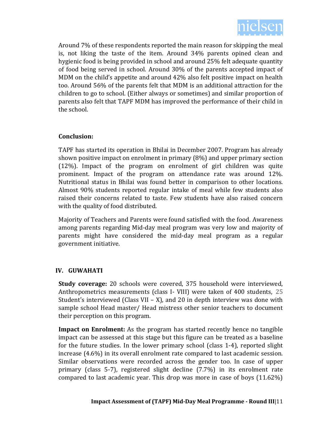

Around 7% of these respondents reported the main reason for skipping the meal is, not liking the taste of the item. Around 34% parents opined clean and hygienic food is being provided in school and around 25% felt adequate quantity of food being served in school. Around 30% of the parents accepted impact of MDM on the child's appetite and around 42% also felt positive impact on health too. Around 56% of the parents felt that MDM is an additional attraction for the children to go to school. (Either always or sometimes) and similar proportion of parents also felt that TAPF MDM has improved the performance of their child in the school.

### **Conclusion:**

TAPF has started its operation in Bhilai in December 2007. Program has already shown positive impact on enrolment in primary (8%) and upper primary section (12%). Impact of the program on enrolment of girl children was quite prominent. Impact of the program on attendance rate was around 12%. Nutritional status in Bhilai was found better in comparison to other locations. Almost 90% students reported regular intake of meal while few students also raised their concerns related to taste. Few students have also raised concern with the quality of food distributed.

Majority of Teachers and Parents were found satisfied with the food. Awareness among parents regarding Mid-day meal program was very low and majority of parents might have considered the mid-day meal program as a regular government initiative.

### **IV. GUWAHATI**

**Study coverage:** 20 schools were covered, 375 household were interviewed, Anthropometrics measurements (class I- VIII) were taken of 400 students, 25 Student's interviewed (Class VII – X), and 20 in depth interview was done with sample school Head master/ Head mistress other senior teachers to document their perception on this program.

**Impact on Enrolment:** As the program has started recently hence no tangible impact can be assessed at this stage but this figure can be treated as a baseline for the future studies. In the lower primary school (class 1-4), reported slight increase (4.6%) in its overall enrolment rate compared to last academic session. Similar observations were recorded across the gender too. In case of upper primary (class 5-7), registered slight decline (7.7%) in its enrolment rate compared to last academic year. This drop was more in case of boys (11.62%)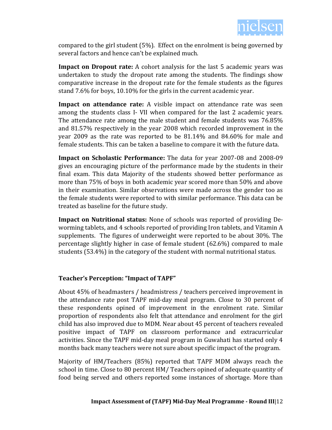

compared to the girl student (5%). Effect on the enrolment is being governed by several factors and hence can't be explained much.

**Impact on Dropout rate:** A cohort analysis for the last 5 academic years was undertaken to study the dropout rate among the students. The findings show comparative increase in the dropout rate for the female students as the figures stand 7.6% for boys, 10.10% for the girls in the current academic year.

**Impact on attendance rate:** A visible impact on attendance rate was seen among the students class I- VII when compared for the last 2 academic years. The attendance rate among the male student and female students was 76.85% and 81.57% respectively in the year 2008 which recorded improvement in the year 2009 as the rate was reported to be 81.14% and 84.60% for male and female students. This can be taken a baseline to compare it with the future data.

**Impact on Scholastic Performance:** The data for year 2007-08 and 2008-09 gives an encouraging picture of the performance made by the students in their final exam. This data Majority of the students showed better performance as more than 75% of boys in both academic year scored more than 50% and above in their examination. Similar observations were made across the gender too as the female students were reported to with similar performance. This data can be treated as baseline for the future study.

**Impact on Nutritional status:** None of schools was reported of providing Deworming tablets, and 4 schools reported of providing Iron tablets, and Vitamin A supplements. The figures of underweight were reported to be about 30%. The percentage slightly higher in case of female student (62.6%) compared to male students (53.4%) in the category of the student with normal nutritional status.

### **Teacher's Perception: "Impact of TAPF"**

About 45% of headmasters / headmistress / teachers perceived improvement in the attendance rate post TAPF mid-day meal program. Close to 30 percent of these respondents opined of improvement in the enrolment rate. Similar proportion of respondents also felt that attendance and enrolment for the girl child has also improved due to MDM. Near about 45 percent of teachers revealed positive impact of TAPF on classroom performance and extracurricular activities. Since the TAPF mid-day meal program in Guwahati has started only 4 months back many teachers were not sure about specific impact of the program.

Majority of HM/Teachers (85%) reported that TAPF MDM always reach the school in time. Close to 80 percent HM/ Teachers opined of adequate quantity of food being served and others reported some instances of shortage. More than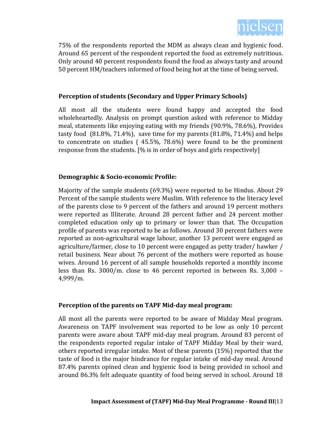

75% of the respondents reported the MDM as always clean and hygienic food. Around 65 percent of the respondent reported the food as extremely nutritious. Only around 40 percent respondents found the food as always tasty and around 50 percent HM/teachers informed of food being hot at the time of being served.

### **Perception of students (Secondary and Upper Primary Schools)**

All most all the students were found happy and accepted the food wholeheartedly. Analysis on prompt question asked with reference to Midday meal, statements like enjoying eating with my friends (90.9%, 78.6%), Provides tasty food (81.8%, 71.4%), save time for my parents (81.8%, 71.4%) and helps to concentrate on studies ( 45.5%, 78.6%) were found to be the prominent response from the students. [% is in order of boys and girls respectively]

### **Demographic & Socio-economic Profile:**

Majority of the sample students (69.3%) were reported to be Hindus. About 29 Percent of the sample students were Muslim. With reference to the literacy level of the parents close to 9 percent of the fathers and around 19 percent mothers were reported as Illiterate. Around 28 percent father and 24 percent mother completed education only up to primary or lower than that. The Occupation profile of parents was reported to be as follows. Around 30 percent fathers were reported as non-agricultural wage labour, another 13 percent were engaged as agriculture/farmer, close to 10 percent were engaged as petty trader/ hawker / retail business. Near about 76 percent of the mothers were reported as house wives. Around 16 percent of all sample households reported a monthly income less than Rs. 3000/m. close to 46 percent reported in between Rs. 3,000 – 4,999/m.

### **Perception of the parents on TAPF Mid-day meal program:**

All most all the parents were reported to be aware of Midday Meal program. Awareness on TAPF involvement was reported to be low as only 10 percent parents were aware about TAPF mid-day meal program. Around 83 percent of the respondents reported regular intake of TAPF Midday Meal by their ward, others reported irregular intake. Most of these parents (15%) reported that the taste of food is the major hindrance for regular intake of mid-day meal. Around 87.4% parents opined clean and hygienic food is being provided in school and around 86.3% felt adequate quantity of food being served in school. Around 18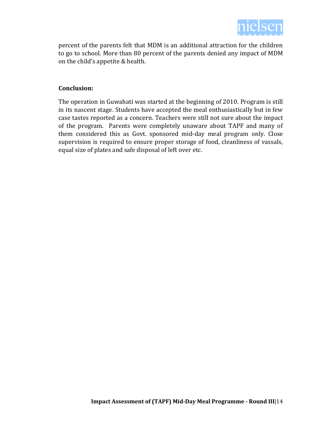

percent of the parents felt that MDM is an additional attraction for the children to go to school. More than 80 percent of the parents denied any impact of MDM on the child's appetite & health.

### **Conclusion:**

The operation in Guwahati was started at the beginning of 2010. Program is still in its nascent stage. Students have accepted the meal enthusiastically but in few case tastes reported as a concern. Teachers were still not sure about the impact of the program. Parents were completely unaware about TAPF and many of them considered this as Govt. sponsored mid-day meal program only. Close supervision is required to ensure proper storage of food, cleanliness of vassals, equal size of plates and safe disposal of left over etc.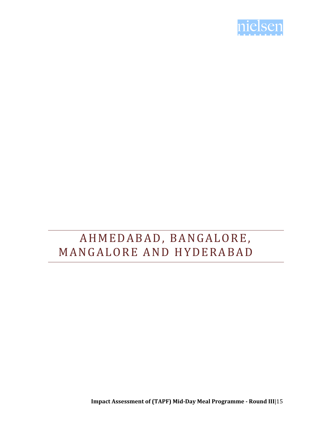

## A H M E D A B A D, B A N G A L O R E, MANGALORE AND HYDERABAD

**Impact Assessment of (TAPF) Mid-Day Meal Programme - Round III**|15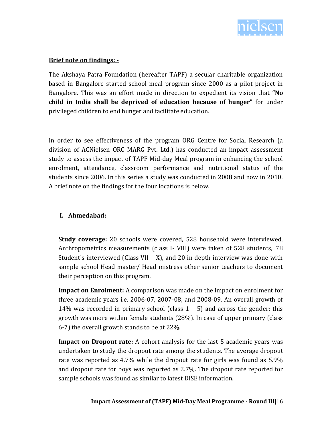

### **Brief note on findings: -**

The Akshaya Patra Foundation (hereafter TAPF) a secular charitable organization based in Bangalore started school meal program since 2000 as a pilot project in Bangalore. This was an effort made in direction to expedient its vision that **"No child in India shall be deprived of education because of hunger"** for under privileged children to end hunger and facilitate education.

In order to see effectiveness of the program ORG Centre for Social Research (a division of ACNielsen ORG-MARG Pvt. Ltd.) has conducted an impact assessment study to assess the impact of TAPF Mid-day Meal program in enhancing the school enrolment, attendance, classroom performance and nutritional status of the students since 2006. In this series a study was conducted in 2008 and now in 2010. A brief note on the findings for the four locations is below.

### **I. Ahmedabad:**

**Study coverage:** 20 schools were covered, 528 household were interviewed, Anthropometrics measurements (class I- VIII) were taken of 528 students, 78 Student's interviewed (Class VII – X), and 20 in depth interview was done with sample school Head master/ Head mistress other senior teachers to document their perception on this program.

**Impact on Enrolment:** A comparison was made on the impact on enrolment for three academic years i.e. 2006-07, 2007-08, and 2008-09. An overall growth of 14% was recorded in primary school (class  $1 - 5$ ) and across the gender; this growth was more within female students (28%). In case of upper primary (class 6-7) the overall growth stands to be at 22%.

**Impact on Dropout rate:** A cohort analysis for the last 5 academic years was undertaken to study the dropout rate among the students. The average dropout rate was reported as 4.7% while the dropout rate for girls was found as 5.9% and dropout rate for boys was reported as 2.7%. The dropout rate reported for sample schools was found as similar to latest DISE information.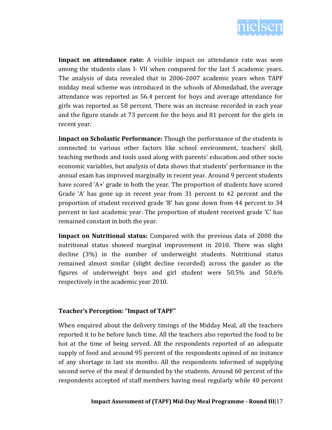

**Impact on attendance rate:** A visible impact on attendance rate was seen among the students class I- VII when compared for the last 5 academic years. The analysis of data revealed that in 2006-2007 academic years when TAPF midday meal scheme was introduced in the schools of Ahmedabad, the average attendance was reported as 56.4 percent for boys and average attendance for girls was reported as 58 percent. There was an increase recorded in each year and the figure stands at 73 percent for the boys and 81 percent for the girls in recent year.

**Impact on Scholastic Performance:** Though the performance of the students is connected to various other factors like school environment, teachers' skill, teaching methods and tools used along with parents' education and other socio economic variables, but analysis of data shows that students' performance in the annual exam has improved marginally in recent year. Around 9 percent students have scored 'A+' grade in both the year. The proportion of students have scored Grade 'A' has gone up in recent year from 31 percent to 42 percent and the proportion of student received grade 'B' has gone down from 44 percent to 34 percent in last academic year. The proportion of student received grade 'C' has remained constant in both the year.

**Impact on Nutritional status:** Compared with the previous data of 2008 the nutritional status showed marginal improvement in 2010. There was slight decline (3%) in the number of underweight students. Nutritional status remained almost similar (slight decline recorded) across the gander as the figures of underweight boys and girl student were 50.5% and 50.6% respectively in the academic year 2010.

### **Teacher's Perception: "Impact of TAPF"**

When enquired about the delivery timings of the Midday Meal, all the teachers reported it to be before lunch time. All the teachers also reported the food to be hot at the time of being served. All the respondents reported of an adequate supply of food and around 95 percent of the respondents opined of no instance of any shortage in last six months. All the respondents informed of supplying second serve of the meal if demanded by the students. Around 60 percent of the respondents accepted of staff members having meal regularly while 40 percent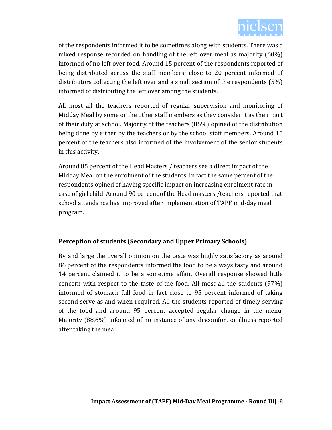

of the respondents informed it to be sometimes along with students. There was a mixed response recorded on handling of the left over meal as majority (60%) informed of no left over food. Around 15 percent of the respondents reported of being distributed across the staff members; close to 20 percent informed of distributors collecting the left over and a small section of the respondents (5%) informed of distributing the left over among the students.

All most all the teachers reported of regular supervision and monitoring of Midday Meal by some or the other staff members as they consider it as their part of their duty at school. Majority of the teachers (85%) opined of the distribution being done by either by the teachers or by the school staff members. Around 15 percent of the teachers also informed of the involvement of the senior students in this activity.

Around 85 percent of the Head Masters / teachers see a direct impact of the Midday Meal on the enrolment of the students. In fact the same percent of the respondents opined of having specific impact on increasing enrolment rate in case of girl child. Around 90 percent of the Head masters /teachers reported that school attendance has improved after implementation of TAPF mid-day meal program.

### **Perception of students (Secondary and Upper Primary Schools)**

By and large the overall opinion on the taste was highly satisfactory as around 86 percent of the respondents informed the food to be always tasty and around 14 percent claimed it to be a sometime affair. Overall response showed little concern with respect to the taste of the food. All most all the students (97%) informed of stomach full food in fact close to 95 percent informed of taking second serve as and when required. All the students reported of timely serving of the food and around 95 percent accepted regular change in the menu. Majority (88.6%) informed of no instance of any discomfort or illness reported after taking the meal.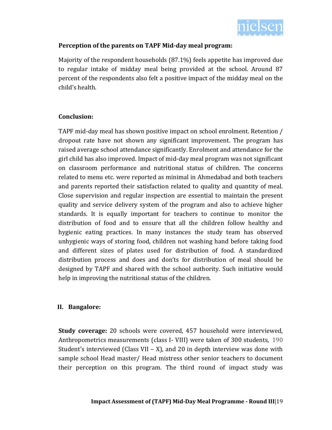

### **Perception of the parents on TAPF Mid-day meal program:**

Majority of the respondent households (87.1%) feels appetite has improved due to regular intake of midday meal being provided at the school. Around 87 percent of the respondents also felt a positive impact of the midday meal on the child's health.

### **Conclusion:**

TAPF mid-day meal has shown positive impact on school enrolment. Retention / dropout rate have not shown any significant improvement. The program has raised average school attendance significantly. Enrolment and attendance for the girl child has also improved. Impact of mid-day meal program was not significant on classroom performance and nutritional status of children. The concerns related to menu etc. were reported as minimal in Ahmedabad and both teachers and parents reported their satisfaction related to quality and quantity of meal. Close supervision and regular inspection are essential to maintain the present quality and service delivery system of the program and also to achieve higher standards. It is equally important for teachers to continue to monitor the distribution of food and to ensure that all the children follow healthy and hygienic eating practices. In many instances the study team has observed unhygienic ways of storing food, children not washing hand before taking food and different sizes of plates used for distribution of food. A standardized distribution process and does and don'ts for distribution of meal should be designed by TAPF and shared with the school authority. Such initiative would help in improving the nutritional status of the children.

### **II. Bangalore:**

**Study coverage:** 20 schools were covered, 457 household were interviewed, Anthropometrics measurements (class I- VIII) were taken of 300 students, 190 Student's interviewed (Class VII – X), and 20 in depth interview was done with sample school Head master/ Head mistress other senior teachers to document their perception on this program. The third round of impact study was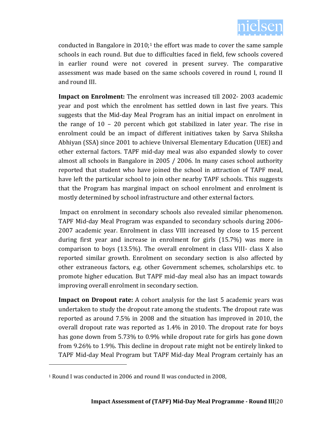

conducted in Bangalore in  $2010<sub>i</sub>$ <sup>1</sup> the effort was made to cover the same sample schools in each round. But due to difficulties faced in field, few schools covered in earlier round were not covered in present survey. The comparative assessment was made based on the same schools covered in round I, round II and round III.

**Impact on Enrolment:** The enrolment was increased till 2002- 2003 academic year and post which the enrolment has settled down in last five years. This suggests that the Mid-day Meal Program has an initial impact on enrolment in the range of 10 – 20 percent which got stabilized in later year. The rise in enrolment could be an impact of different initiatives taken by Sarva Shiksha Abhiyan (SSA) since 2001 to achieve Universal Elementary Education (UEE) and other external factors. TAPF mid-day meal was also expanded slowly to cover almost all schools in Bangalore in 2005 / 2006. In many cases school authority reported that student who have joined the school in attraction of TAPF meal, have left the particular school to join other nearby TAPF schools. This suggests that the Program has marginal impact on school enrolment and enrolment is mostly determined by school infrastructure and other external factors.

Impact on enrolment in secondary schools also revealed similar phenomenon. TAPF Mid-day Meal Program was expanded to secondary schools during 2006- 2007 academic year. Enrolment in class VIII increased by close to 15 percent during first year and increase in enrolment for girls (15.7%) was more in comparison to boys (13.5%). The overall enrolment in class VIII- class X also reported similar growth. Enrolment on secondary section is also affected by other extraneous factors, e.g. other Government schemes, scholarships etc. to promote higher education. But TAPF mid-day meal also has an impact towards improving overall enrolment in secondary section.

**Impact on Dropout rate:** A cohort analysis for the last 5 academic years was undertaken to study the dropout rate among the students. The dropout rate was reported as around 7.5% in 2008 and the situation has improved in 2010, the overall dropout rate was reported as 1.4% in 2010. The dropout rate for boys has gone down from 5.73% to 0.9% while dropout rate for girls has gone down from 9.26% to 1.9%. This decline in dropout rate might not be entirely linked to TAPF Mid-day Meal Program but TAPF Mid-day Meal Program certainly has an

 $\overline{\phantom{0}}$ 

<sup>1</sup> Round I was conducted in 2006 and round II was conducted in 2008,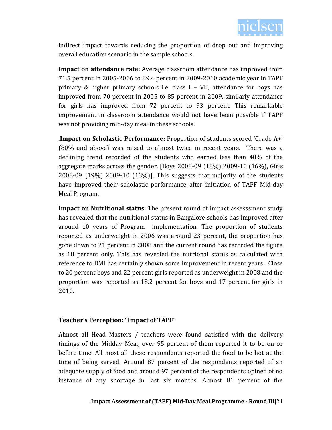

indirect impact towards reducing the proportion of drop out and improving overall education scenario in the sample schools.

**Impact on attendance rate:** Average classroom attendance has improved from 71.5 percent in 2005-2006 to 89.4 percent in 2009-2010 academic year in TAPF primary & higher primary schools i.e. class  $I - VII$ , attendance for boys has improved from 70 percent in 2005 to 85 percent in 2009, similarly attendance for girls has improved from 72 percent to 93 percent. This remarkable improvement in classroom attendance would not have been possible if TAPF was not providing mid-day meal in these schools.

.**Impact on Scholastic Performance:** Proportion of students scored 'Grade A+' (80% and above) was raised to almost twice in recent years. There was a declining trend recorded of the students who earned less than 40% of the aggregate marks across the gender. [Boys 2008-09 (18%) 2009-10 (16%), Girls 2008-09 (19%) 2009-10 (13%)]. This suggests that majority of the students have improved their scholastic performance after initiation of TAPF Mid-day Meal Program.

**Impact on Nutritional status:** The present round of impact assesssment study has revealed that the nutritional status in Bangalore schools has improved after around 10 years of Program implementation. The proportion of students reported as underweight in 2006 was around 23 percent, the proportion has gone down to 21 percent in 2008 and the current round has recorded the figure as 18 percent only. This has revealed the nutrional status as calculated with reference to BMI has certainly shown some improvement in recent years. Close to 20 percent boys and 22 percent girls reported as underweight in 2008 and the proportion was reported as 18.2 percent for boys and 17 percent for girls in 2010.

### **Teacher's Perception: "Impact of TAPF"**

Almost all Head Masters / teachers were found satisfied with the delivery timings of the Midday Meal, over 95 percent of them reported it to be on or before time. All most all these respondents reported the food to be hot at the time of being served. Around 87 percent of the respondents reported of an adequate supply of food and around 97 percent of the respondents opined of no instance of any shortage in last six months. Almost 81 percent of the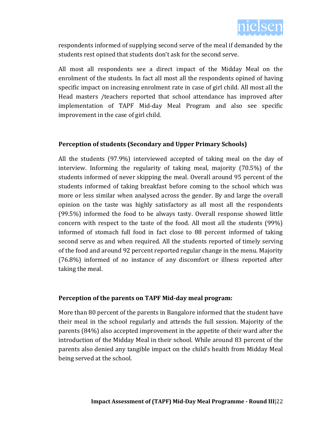

respondents informed of supplying second serve of the meal if demanded by the students rest opined that students don't ask for the second serve.

All most all respondents see a direct impact of the Midday Meal on the enrolment of the students. In fact all most all the respondents opined of having specific impact on increasing enrolment rate in case of girl child. All most all the Head masters /teachers reported that school attendance has improved after implementation of TAPF Mid-day Meal Program and also see specific improvement in the case of girl child.

### **Perception of students (Secondary and Upper Primary Schools)**

All the students (97.9%) interviewed accepted of taking meal on the day of interview. Informing the regularity of taking meal, majority (70.5%) of the students informed of never skipping the meal. Overall around 95 percent of the students informed of taking breakfast before coming to the school which was more or less similar when analysed across the gender. By and large the overall opinion on the taste was highly satisfactory as all most all the respondents (99.5%) informed the food to be always tasty. Overall response showed little concern with respect to the taste of the food. All most all the students (99%) informed of stomach full food in fact close to 88 percent informed of taking second serve as and when required. All the students reported of timely serving of the food and around 92 percent reported regular change in the menu. Majority (76.8%) informed of no instance of any discomfort or illness reported after taking the meal.

### **Perception of the parents on TAPF Mid-day meal program:**

More than 80 percent of the parents in Bangalore informed that the student have their meal in the school regularly and attends the full session. Majority of the parents (84%) also accepted improvement in the appetite of their ward after the introduction of the Midday Meal in their school. While around 83 percent of the parents also denied any tangible impact on the child's health from Midday Meal being served at the school.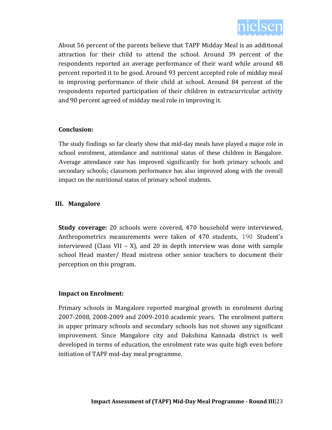

About 56 percent of the parents believe that TAPF Midday Meal is an additional attraction for their child to attend the school. Around 39 percent of the respondents reported an average performance of their ward while around 48 percent reported it to be good. Around 93 percent accepted role of midday meal in improving performance of their child at school. Around 84 percent of the respondents reported participation of their children in extracurricular activity and 90 percent agreed of midday meal role in improving it.

### **Conclusion:**

The study findings so far clearly show that mid-day meals have played a major role in school enrolment, attendance and nutritional status of these children in Bangalore. Average attendance rate has improved significantly for both primary schools and secondary schools; classroom performance has also improved along with the overall impact on the nutritional status of primary school students.

### **III. Mangalore**

**Study coverage:** 20 schools were covered, 470 household were interviewed, Anthropometrics measurements were taken of 470 students, 190 Student's interviewed (Class VII – X), and 20 in depth interview was done with sample school Head master/ Head mistress other senior teachers to document their perception on this program.

### **Impact on Enrolment:**

Primary schools in Mangalore reported marginal growth in enrolment during 2007-2008, 2008-2009 and 2009-2010 academic years. The enrolment pattern in upper primary schools and secondary schools has not shown any significant improvement. Since Mangalore city and Dakshina Kannada district is well developed in terms of education, the enrolment rate was quite high even before initiation of TAPF mid-day meal programme.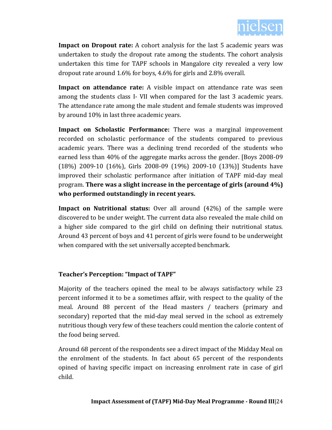

**Impact on Dropout rate:** A cohort analysis for the last 5 academic years was undertaken to study the dropout rate among the students. The cohort analysis undertaken this time for TAPF schools in Mangalore city revealed a very low dropout rate around 1.6% for boys, 4.6% for girls and 2.8% overall.

**Impact on attendance rate:** A visible impact on attendance rate was seen among the students class I- VII when compared for the last 3 academic years. The attendance rate among the male student and female students was improved by around 10% in last three academic years.

**Impact on Scholastic Performance:** There was a marginal improvement recorded on scholastic performance of the students compared to previous academic years. There was a declining trend recorded of the students who earned less than 40% of the aggregate marks across the gender. [Boys 2008-09 (18%) 2009-10 (16%), Girls 2008-09 (19%) 2009-10 (13%)] Students have improved their scholastic performance after initiation of TAPF mid-day meal program. **There was a slight increase in the percentage of girls (around 4%) who performed outstandingly in recent years.** 

**Impact on Nutritional status:** Over all around (42%) of the sample were discovered to be under weight. The current data also revealed the male child on a higher side compared to the girl child on defining their nutritional status. Around 43 percent of boys and 41 percent of girls were found to be underweight when compared with the set universally accepted benchmark.

### **Teacher's Perception: "Impact of TAPF"**

Majority of the teachers opined the meal to be always satisfactory while 23 percent informed it to be a sometimes affair, with respect to the quality of the meal. Around 88 percent of the Head masters / teachers (primary and secondary) reported that the mid-day meal served in the school as extremely nutritious though very few of these teachers could mention the calorie content of the food being served.

Around 68 percent of the respondents see a direct impact of the Midday Meal on the enrolment of the students. In fact about 65 percent of the respondents opined of having specific impact on increasing enrolment rate in case of girl child.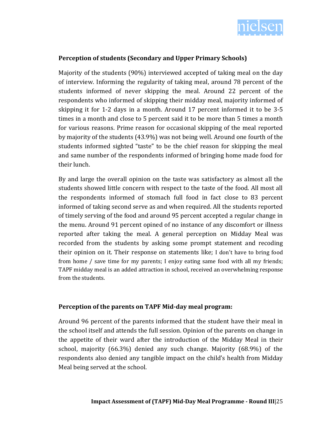

### **Perception of students (Secondary and Upper Primary Schools)**

Majority of the students (90%) interviewed accepted of taking meal on the day of interview. Informing the regularity of taking meal, around 78 percent of the students informed of never skipping the meal. Around 22 percent of the respondents who informed of skipping their midday meal, majority informed of skipping it for 1-2 days in a month. Around 17 percent informed it to be 3-5 times in a month and close to 5 percent said it to be more than 5 times a month for various reasons. Prime reason for occasional skipping of the meal reported by majority of the students (43.9%) was not being well. Around one fourth of the students informed sighted "taste" to be the chief reason for skipping the meal and same number of the respondents informed of bringing home made food for their lunch.

By and large the overall opinion on the taste was satisfactory as almost all the students showed little concern with respect to the taste of the food. All most all the respondents informed of stomach full food in fact close to 83 percent informed of taking second serve as and when required. All the students reported of timely serving of the food and around 95 percent accepted a regular change in the menu. Around 91 percent opined of no instance of any discomfort or illness reported after taking the meal. A general perception on Midday Meal was recorded from the students by asking some prompt statement and recoding their opinion on it. Their response on statements like; I don't have to bring food from home / save time for my parents; I enjoy eating same food with all my friends; TAPF midday meal is an added attraction in school, received an overwhelming response from the students.

### **Perception of the parents on TAPF Mid-day meal program:**

Around 96 percent of the parents informed that the student have their meal in the school itself and attends the full session. Opinion of the parents on change in the appetite of their ward after the introduction of the Midday Meal in their school, majority (66.3%) denied any such change. Majority (68.9%) of the respondents also denied any tangible impact on the child's health from Midday Meal being served at the school.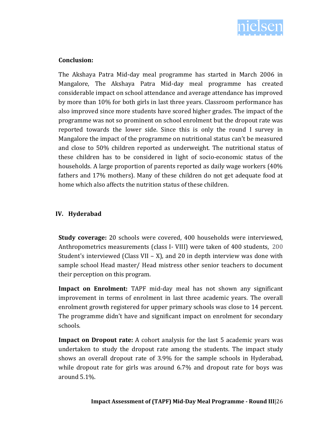

### **Conclusion:**

The Akshaya Patra Mid-day meal programme has started in March 2006 in Mangalore, The Akshaya Patra Mid-day meal programme has created considerable impact on school attendance and average attendance has improved by more than 10% for both girls in last three years. Classroom performance has also improved since more students have scored higher grades. The impact of the programme was not so prominent on school enrolment but the dropout rate was reported towards the lower side. Since this is only the round I survey in Mangalore the impact of the programme on nutritional status can't be measured and close to 50% children reported as underweight. The nutritional status of these children has to be considered in light of socio-economic status of the households. A large proportion of parents reported as daily wage workers (40% fathers and 17% mothers). Many of these children do not get adequate food at home which also affects the nutrition status of these children.

### **IV. Hyderabad**

**Study coverage:** 20 schools were covered, 400 households were interviewed, Anthropometrics measurements (class I- VIII) were taken of 400 students, 200 Student's interviewed (Class VII – X), and 20 in depth interview was done with sample school Head master/ Head mistress other senior teachers to document their perception on this program.

**Impact on Enrolment:** TAPF mid-day meal has not shown any significant improvement in terms of enrolment in last three academic years. The overall enrolment growth registered for upper primary schools was close to 14 percent. The programme didn't have and significant impact on enrolment for secondary schools.

**Impact on Dropout rate:** A cohort analysis for the last 5 academic years was undertaken to study the dropout rate among the students. The impact study shows an overall dropout rate of 3.9% for the sample schools in Hyderabad, while dropout rate for girls was around 6.7% and dropout rate for boys was around 5.1%.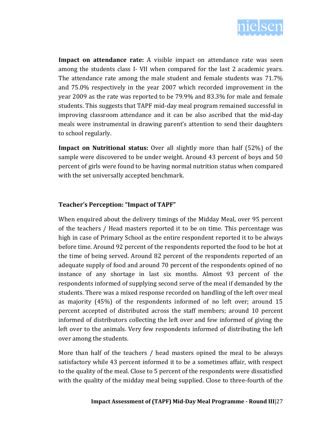

**Impact on attendance rate:** A visible impact on attendance rate was seen among the students class I- VII when compared for the last 2 academic years. The attendance rate among the male student and female students was 71.7% and 75.0% respectively in the year 2007 which recorded improvement in the year 2009 as the rate was reported to be 79.9% and 83.3% for male and female students. This suggests that TAPF mid-day meal program remained successful in improving classroom attendance and it can be also ascribed that the mid-day meals were instrumental in drawing parent's attention to send their daughters to school regularly.

**Impact on Nutritional status:** Over all slightly more than half (52%) of the sample were discovered to be under weight. Around 43 percent of boys and 50 percent of girls were found to be having normal nutrition status when compared with the set universally accepted benchmark.

### **Teacher's Perception: "Impact of TAPF"**

When enquired about the delivery timings of the Midday Meal, over 95 percent of the teachers / Head masters reported it to be on time. This percentage was high in case of Primary School as the entire respondent reported it to be always before time. Around 92 percent of the respondents reported the food to be hot at the time of being served. Around 82 percent of the respondents reported of an adequate supply of food and around 70 percent of the respondents opined of no instance of any shortage in last six months. Almost 93 percent of the respondents informed of supplying second serve of the meal if demanded by the students. There was a mixed response recorded on handling of the left over meal as majority (45%) of the respondents informed of no left over; around 15 percent accepted of distributed across the staff members; around 10 percent informed of distributors collecting the left over and few informed of giving the left over to the animals. Very few respondents informed of distributing the left over among the students.

More than half of the teachers / head masters opined the meal to be always satisfactory while 43 percent informed it to be a sometimes affair, with respect to the quality of the meal. Close to 5 percent of the respondents were dissatisfied with the quality of the midday meal being supplied. Close to three-fourth of the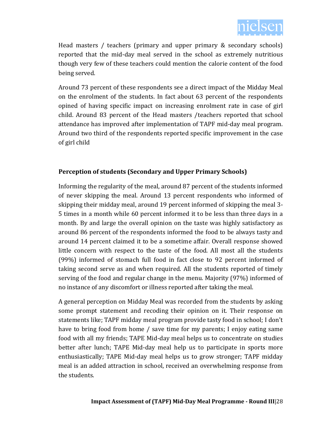

Head masters / teachers (primary and upper primary & secondary schools) reported that the mid-day meal served in the school as extremely nutritious though very few of these teachers could mention the calorie content of the food being served.

Around 73 percent of these respondents see a direct impact of the Midday Meal on the enrolment of the students. In fact about 63 percent of the respondents opined of having specific impact on increasing enrolment rate in case of girl child. Around 83 percent of the Head masters /teachers reported that school attendance has improved after implementation of TAPF mid-day meal program. Around two third of the respondents reported specific improvement in the case of girl child

### **Perception of students (Secondary and Upper Primary Schools)**

Informing the regularity of the meal, around 87 percent of the students informed of never skipping the meal. Around 13 percent respondents who informed of skipping their midday meal, around 19 percent informed of skipping the meal 3- 5 times in a month while 60 percent informed it to be less than three days in a month. By and large the overall opinion on the taste was highly satisfactory as around 86 percent of the respondents informed the food to be always tasty and around 14 percent claimed it to be a sometime affair. Overall response showed little concern with respect to the taste of the food. All most all the students (99%) informed of stomach full food in fact close to 92 percent informed of taking second serve as and when required. All the students reported of timely serving of the food and regular change in the menu. Majority (97%) informed of no instance of any discomfort or illness reported after taking the meal.

A general perception on Midday Meal was recorded from the students by asking some prompt statement and recoding their opinion on it. Their response on statements like; TAPF midday meal program provide tasty food in school; I don't have to bring food from home / save time for my parents; I enjoy eating same food with all my friends; TAPE Mid-day meal helps us to concentrate on studies better after lunch; TAPE Mid-day meal help us to participate in sports more enthusiastically; TAPE Mid-day meal helps us to grow stronger; TAPF midday meal is an added attraction in school, received an overwhelming response from the students.